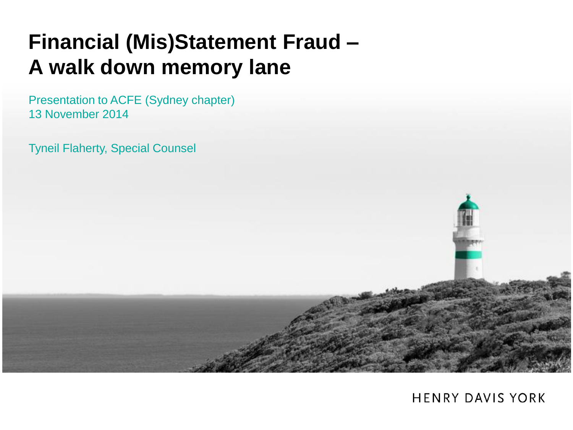#### **Financial (Mis)Statement Fraud – A walk down memory lane**

Presentation to ACFE (Sydney chapter) 13 November 2014

Tyneil Flaherty, Special Counsel

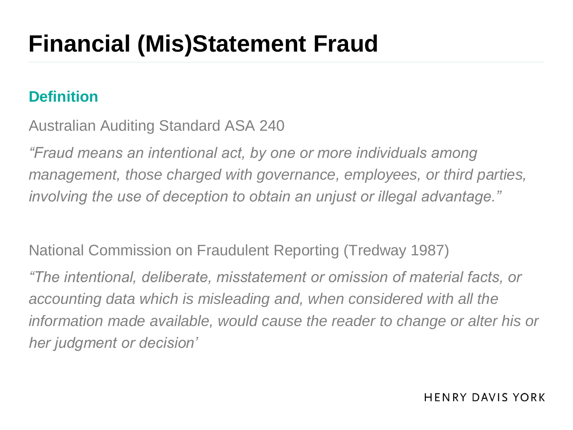## **Financial (Mis)Statement Fraud**

#### **Definition**

Australian Auditing Standard ASA 240

*"Fraud means an intentional act, by one or more individuals among management, those charged with governance, employees, or third parties, involving the use of deception to obtain an unjust or illegal advantage."*

National Commission on Fraudulent Reporting (Tredway 1987) *"The intentional, deliberate, misstatement or omission of material facts, or accounting data which is misleading and, when considered with all the information made available, would cause the reader to change or alter his or her judgment or decision'*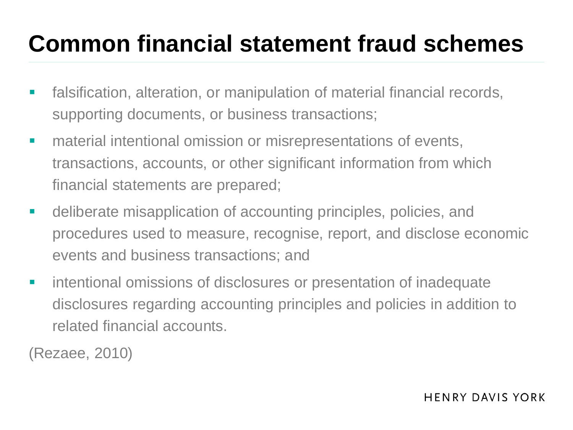## **Common financial statement fraud schemes**

- **Falsification, alteration, or manipulation of material financial records,** supporting documents, or business transactions;
- **naterial intentional omission or misrepresentations of events,** transactions, accounts, or other significant information from which financial statements are prepared;
- deliberate misapplication of accounting principles, policies, and procedures used to measure, recognise, report, and disclose economic events and business transactions; and
- **EXECUTE:** intentional omissions of disclosures or presentation of inadequate disclosures regarding accounting principles and policies in addition to related financial accounts.

(Rezaee, 2010)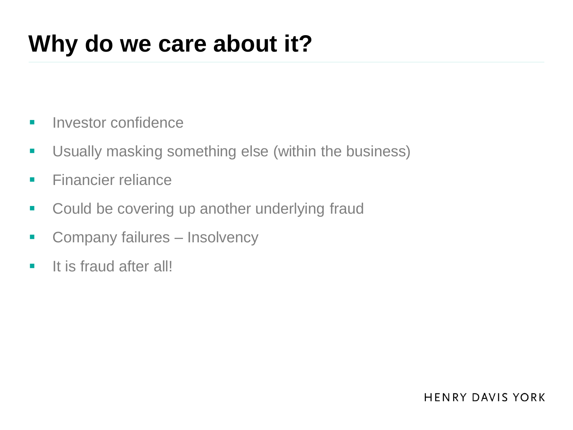## **Why do we care about it?**

- **Investor confidence**
- **Usually masking something else (within the business)**
- **Financier reliance**
- **-** Could be covering up another underlying fraud
- **Company failures Insolvency**
- **If is fraud after all!**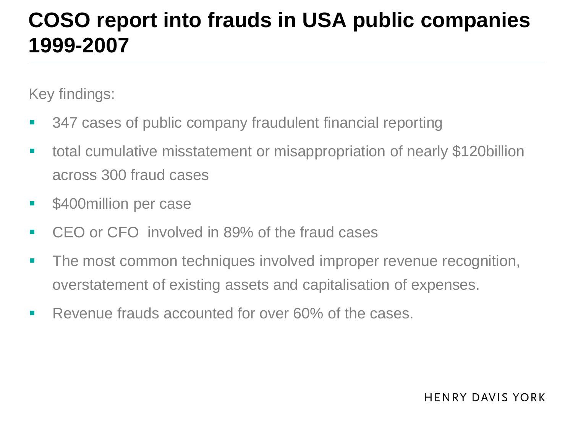#### **COSO report into frauds in USA public companies 1999-2007**

Key findings:

- 347 cases of public company fraudulent financial reporting
- total cumulative misstatement or misappropriation of nearly \$120billion across 300 fraud cases
- \$400million per case
- CEO or CFO involved in 89% of the fraud cases
- **The most common techniques involved improper revenue recognition,** overstatement of existing assets and capitalisation of expenses.
- Revenue frauds accounted for over 60% of the cases.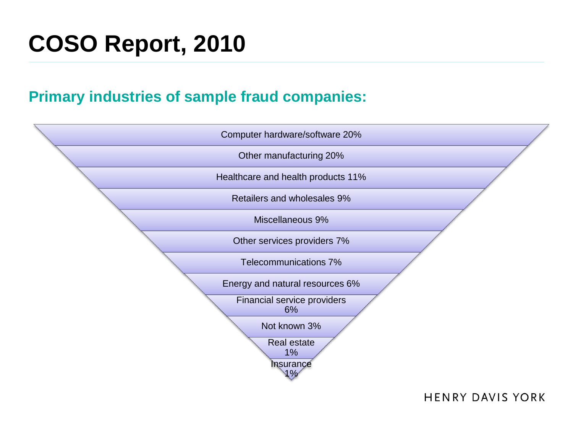# **COSO Report, 2010**

#### **Primary industries of sample fraud companies:**

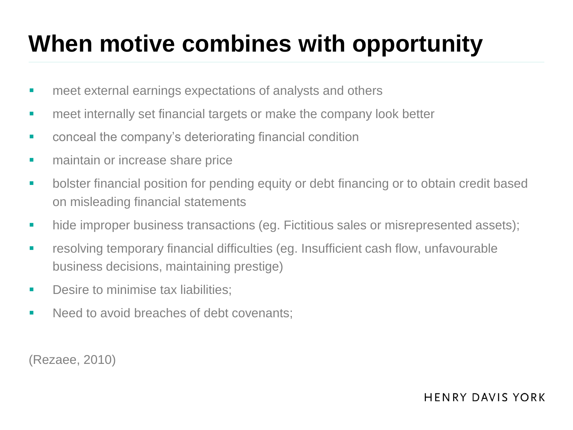# **When motive combines with opportunity**

- **EXTERNIFF EXTERNIFFE EXTERNIFFE EXTERNIFFE EXTERNIFFE EXTERNIFFE EXTERNIFFE EXTERNIFFE EXTERNIFFE EXTERNIFFE EXTERNIFFE EXTERNIFFE EXTERNIFFE EXTERNIFFE EXTERNIFFE EXTERNIFFE EXTERNIFFE EXTERNIFFE EXTERNIFFE EXTERNIFFE EX**
- **EXTERN** meet internally set financial targets or make the company look better
- **EXECONCERDIATE:** conceal the company's deteriorating financial condition
- **EXECUTE:** maintain or increase share price
- **•** bolster financial position for pending equity or debt financing or to obtain credit based on misleading financial statements
- hide improper business transactions (eg. Fictitious sales or misrepresented assets);
- resolving temporary financial difficulties (eg. Insufficient cash flow, unfavourable business decisions, maintaining prestige)
- **Desire to minimise tax liabilities:**
- Need to avoid breaches of debt covenants:

(Rezaee, 2010)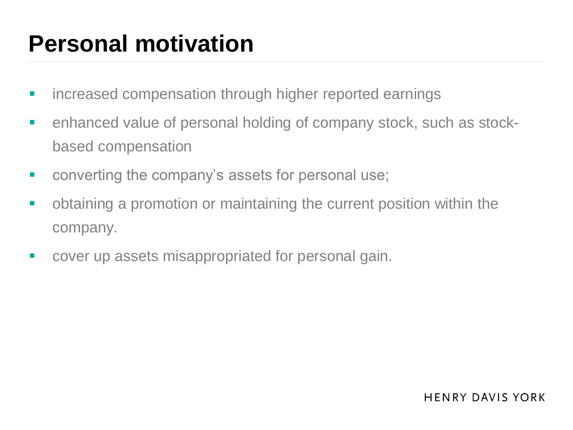## **Personal motivation**

- **EXEDEE FIGHTER increased compensation through higher reported earnings**
- enhanced value of personal holding of company stock, such as stockbased compensation
- converting the company's assets for personal use;
- obtaining a promotion or maintaining the current position within the company.
- **COVET UP ASSETS MISAPPROPREATED FOR THE COVET UP ASSETS**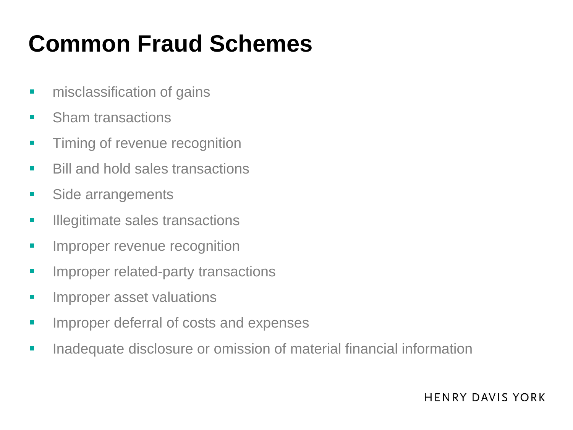## **Common Fraud Schemes**

- **n** misclassification of gains
- **Sham transactions**
- **Timing of revenue recognition**
- **Bill and hold sales transactions**
- **Side arrangements**
- **Illegitimate sales transactions**
- **Improper revenue recognition**
- **IMPROPER THEORY IS A THEORY THEORY IT IS A THEORY IS A THEORY IS A THEORY IS A THEORY IS A THEORY IS A THEORY IS A THEORY IS A THEORY IS A THEORY IS A THEORY IS A THEORY IS A THEORY IS A THEORY IS A THEORY IS A THEORY IS**
- **IMPROPER ASSET VALUATIONS**
- **IMPROPER DEFETRE OF COSTS AND EXPENSES**
- **Inadequate disclosure or omission of material financial information**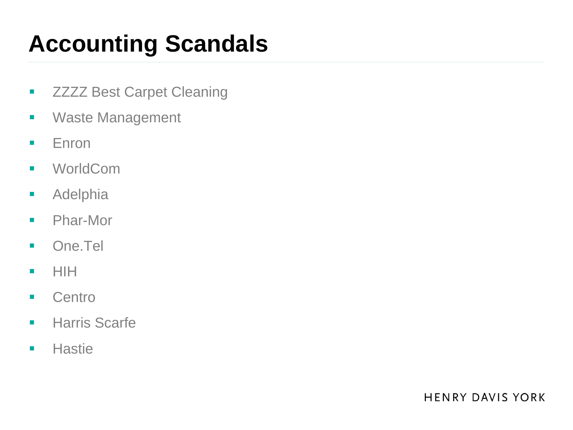# **Accounting Scandals**

- **EXALUST:** ZZZZ Best Carpet Cleaning
- **Waste Management**
- **Enron**
- **■** WorldCom
- **-** Adelphia
- **Phar-More**
- **Dome.Tel**
- $\blacksquare$  HIH
- **Centro**
- **Harris Scarfe**
- **Hastie**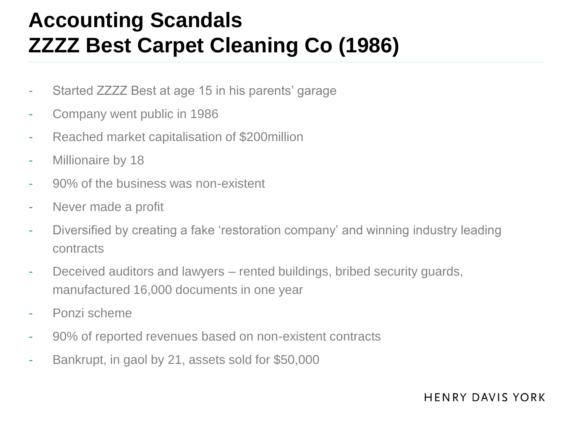#### **Accounting Scandals ZZZZ Best Carpet Cleaning Co (1986)**

- Started ZZZZ Best at age 15 in his parents' garage
- Company went public in 1986
- Reached market capitalisation of \$200million
- Millionaire by 18
- 90% of the business was non-existent
- Never made a profit
- Diversified by creating a fake 'restoration company' and winning industry leading contracts
- Deceived auditors and lawyers rented buildings, bribed security guards, manufactured 16,000 documents in one year
- Ponzi scheme
- 90% of reported revenues based on non-existent contracts
- Bankrupt, in gaol by 21, assets sold for \$50,000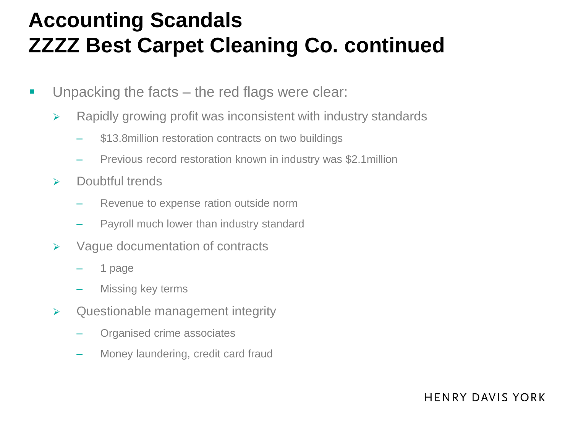#### **Accounting Scandals ZZZZ Best Carpet Cleaning Co. continued**

- **Unpacking the facts the red flags were clear:** 
	- $\triangleright$  Rapidly growing profit was inconsistent with industry standards
		- \$13.8million restoration contracts on two buildings
		- Previous record restoration known in industry was \$2.1million
	- $\triangleright$  Doubtful trends
		- Revenue to expense ration outside norm
		- Payroll much lower than industry standard
	- $\triangleright$  Vague documentation of contracts
		- 1 page
		- Missing key terms
	- $\triangleright$  Questionable management integrity
		- Organised crime associates
		- Money laundering, credit card fraud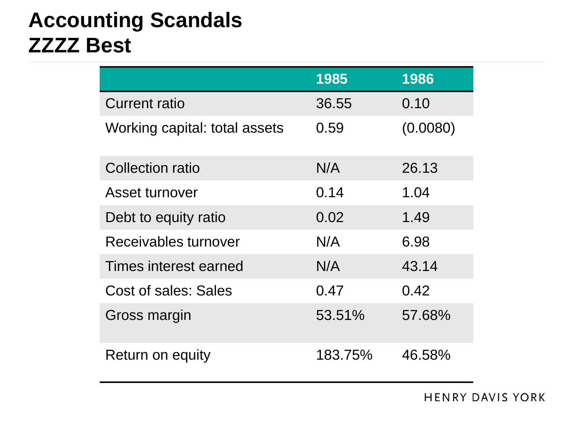#### **Accounting Scandals ZZZZ Best**

|                               | 1985    | 1986     |
|-------------------------------|---------|----------|
| <b>Current ratio</b>          | 36.55   | 0.10     |
| Working capital: total assets | 0.59    | (0.0080) |
| Collection ratio              | N/A     | 26.13    |
| Asset turnover                | 0.14    | 1.04     |
| Debt to equity ratio          | 0.02    | 1.49     |
| Receivables turnover          | N/A     | 6.98     |
| Times interest earned         | N/A     | 43.14    |
| Cost of sales: Sales          | 0.47    | 0.42     |
| Gross margin                  | 53.51%  | 57.68%   |
| Return on equity              | 183.75% | 46.58%   |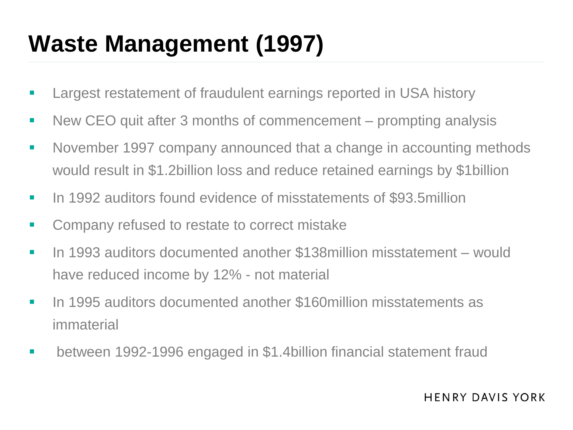# **Waste Management (1997)**

- **EXECT:** Largest restatement of fraudulent earnings reported in USA history
- New CEO quit after 3 months of commencement prompting analysis
- **November 1997 company announced that a change in accounting methods** would result in \$1.2billion loss and reduce retained earnings by \$1billion
- In 1992 auditors found evidence of misstatements of \$93.5million
- **EXECOMPANY refused to restate to correct mistake**
- In 1993 auditors documented another \$138million misstatement would have reduced income by 12% - not material
- In 1995 auditors documented another \$160million misstatements as immaterial
- between 1992-1996 engaged in \$1.4billion financial statement fraud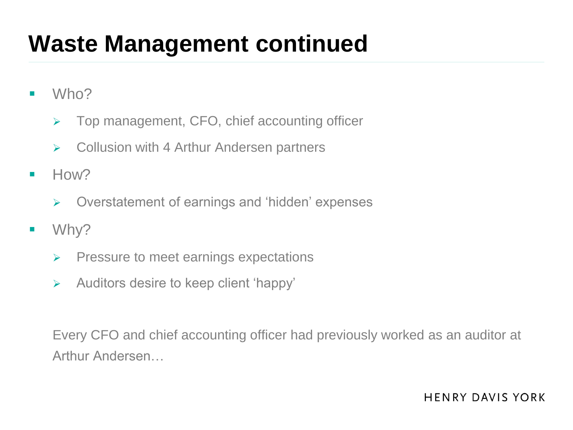## **Waste Management continued**

- **Who?** 
	- $\triangleright$  Top management, CFO, chief accounting officer
	- $\triangleright$  Collusion with 4 Arthur Andersen partners
- $H<sub>OW</sub>$ 
	- $\triangleright$  Overstatement of earnings and 'hidden' expenses
- **No. 19** Why?
	- $\triangleright$  Pressure to meet earnings expectations
	- $\triangleright$  Auditors desire to keep client 'happy'

Every CFO and chief accounting officer had previously worked as an auditor at Arthur Andersen…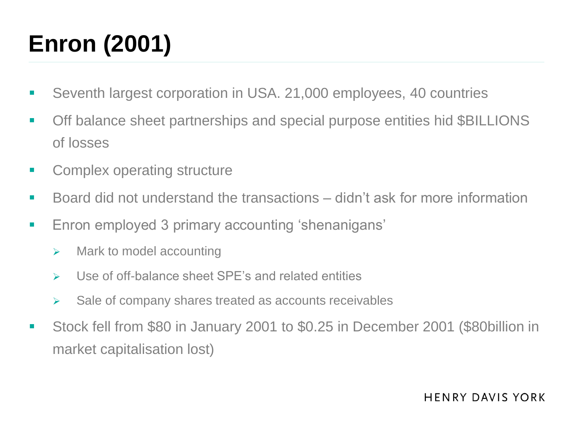# **Enron (2001)**

- Seventh largest corporation in USA. 21,000 employees, 40 countries
- Off balance sheet partnerships and special purpose entities hid \$BILLIONS of losses
- **EXECOMPLEX OPERATION STRUCTURE**
- Board did not understand the transactions didn't ask for more information
- **Enron employed 3 primary accounting 'shenanigans'** 
	- $\triangleright$  Mark to model accounting
	- Use of off-balance sheet SPE's and related entities
	- $\triangleright$  Sale of company shares treated as accounts receivables
- Stock fell from \$80 in January 2001 to \$0.25 in December 2001 (\$80billion in market capitalisation lost)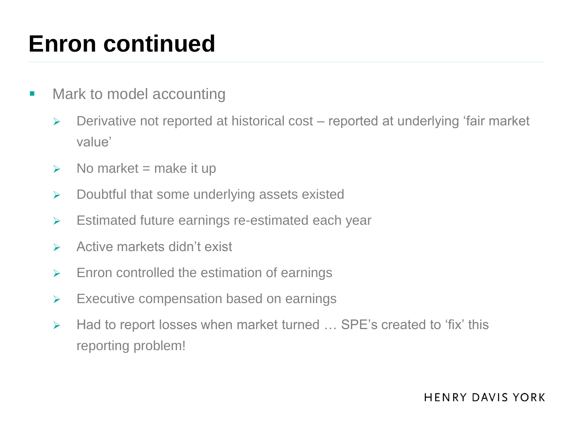### **Enron continued**

- Mark to model accounting
	- $\triangleright$  Derivative not reported at historical cost reported at underlying 'fair market value'
	- $\triangleright$  No market = make it up
	- $\triangleright$  Doubtful that some underlying assets existed
	- Estimated future earnings re-estimated each year
	- $\triangleright$  Active markets didn't exist
	- $\triangleright$  Enron controlled the estimation of earnings
	- $\triangleright$  Executive compensation based on earnings
	- ▶ Had to report losses when market turned ... SPE's created to 'fix' this reporting problem!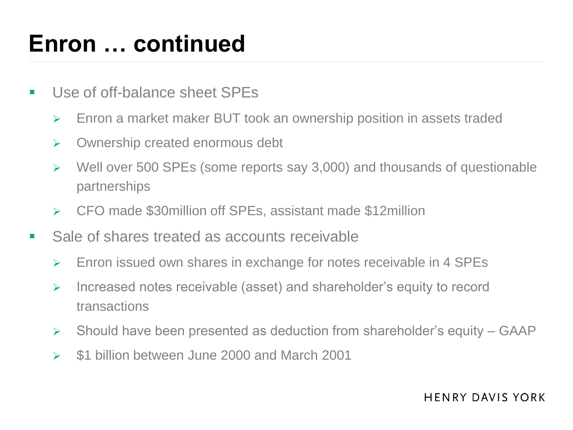### **Enron … continued**

- **Use of off-balance sheet SPEs** 
	- Enron a market maker BUT took an ownership position in assets traded
	- **▶ Ownership created enormous debt**
	- $\triangleright$  Well over 500 SPEs (some reports say 3,000) and thousands of questionable partnerships
	- CFO made \$30million off SPEs, assistant made \$12million
- Sale of shares treated as accounts receivable
	- Enron issued own shares in exchange for notes receivable in 4 SPEs
	- $\triangleright$  Increased notes receivable (asset) and shareholder's equity to record transactions
	- $\triangleright$  Should have been presented as deduction from shareholder's equity GAAP
	- $\geq$  \$1 billion between June 2000 and March 2001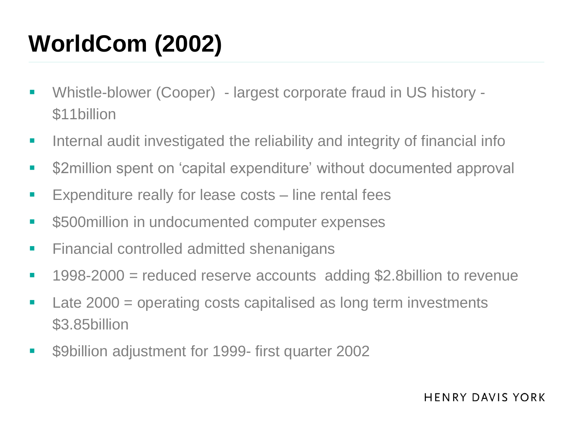# **WorldCom (2002)**

- Whistle-blower (Cooper) largest corporate fraud in US history \$11billion
- **Internal audit investigated the reliability and integrity of financial info**
- **EXEC** S2million spent on 'capital expenditure' without documented approval
- **Expenditure really for lease costs line rental fees**
- **S500million in undocumented computer expenses**
- **Financial controlled admitted shenanigans**
- 1998-2000 = reduced reserve accounts adding \$2.8billion to revenue
- Late 2000 = operating costs capitalised as long term investments \$3.85billion
- \$9billion adjustment for 1999- first quarter 2002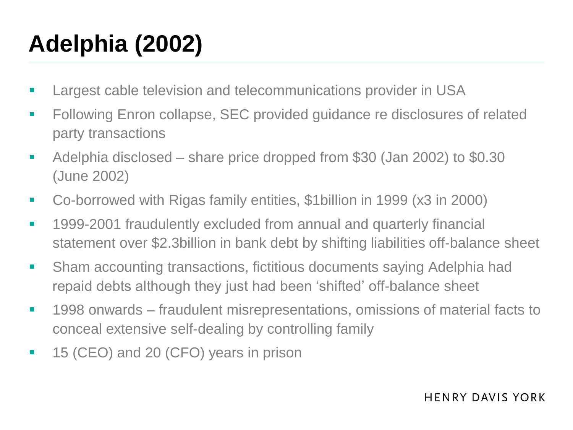# **Adelphia (2002)**

- **Largest cable television and telecommunications provider in USA**
- **Following Enron collapse, SEC provided guidance re disclosures of related** party transactions
- Adelphia disclosed share price dropped from \$30 (Jan 2002) to \$0.30 (June 2002)
- Co-borrowed with Rigas family entities, \$1billion in 1999 (x3 in 2000)
- **1999-2001 fraudulently excluded from annual and quarterly financial** statement over \$2.3billion in bank debt by shifting liabilities off-balance sheet
- Sham accounting transactions, fictitious documents saying Adelphia had repaid debts although they just had been 'shifted' off-balance sheet
- **1998** onwards fraudulent misrepresentations, omissions of material facts to conceal extensive self-dealing by controlling family
- 15 (CEO) and 20 (CFO) years in prison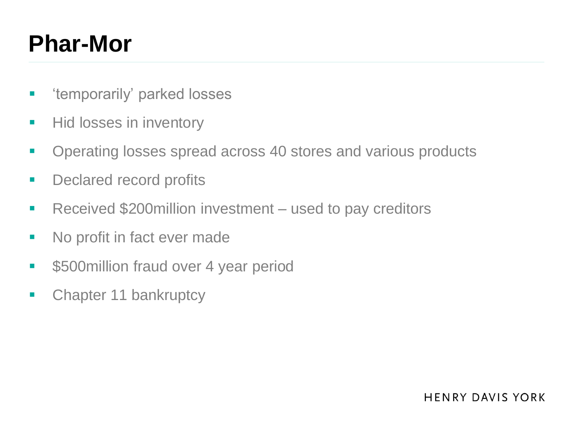## **Phar-Mor**

- 'temporarily' parked losses
- Hid losses in inventory
- **Operating losses spread across 40 stores and various products**
- **•** Declared record profits
- Received \$200million investment used to pay creditors
- No profit in fact ever made
- **S500million fraud over 4 year period**
- Chapter 11 bankruptcy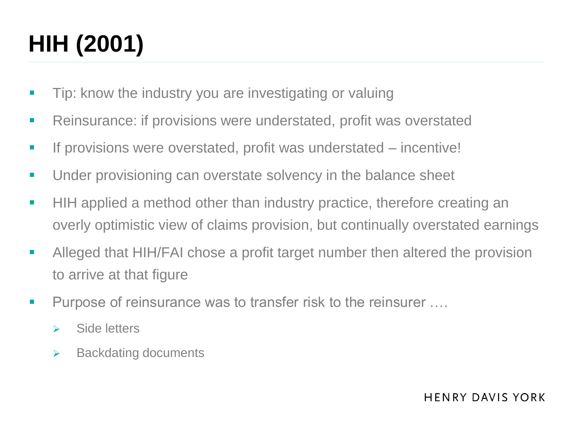# **HIH (2001)**

- **Tip:** know the industry you are investigating or valuing
- Reinsurance: if provisions were understated, profit was overstated
- If provisions were overstated, profit was understated incentive!
- **Under provisioning can overstate solvency in the balance sheet**
- **HIH** applied a method other than industry practice, therefore creating an overly optimistic view of claims provision, but continually overstated earnings
- Alleged that HIH/FAI chose a profit target number then altered the provision to arrive at that figure
- Purpose of reinsurance was to transfer risk to the reinsurer ....
	- $\triangleright$  Side letters
	- $\triangleright$  Backdating documents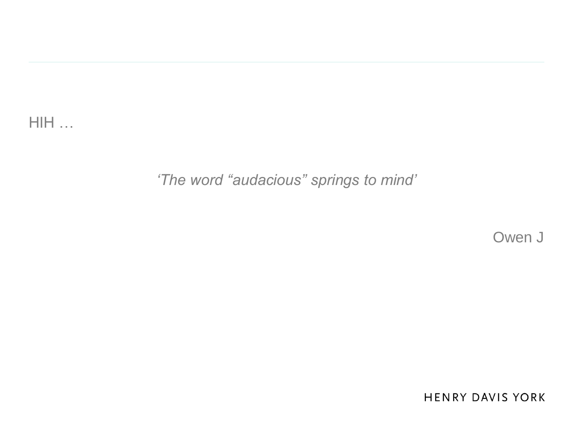HIH …

#### *'The word "audacious" springs to mind'*

Owen J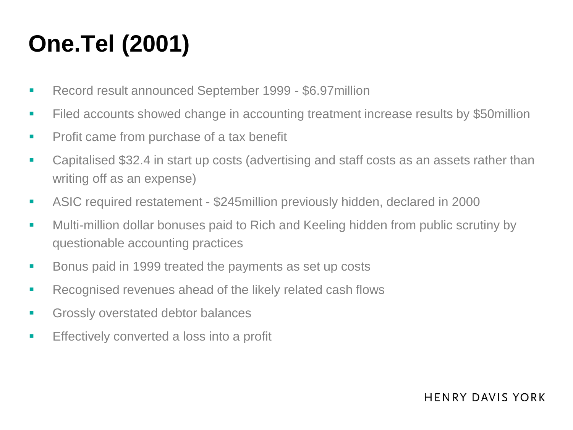# **One.Tel (2001)**

- Record result announced September 1999 \$6.97million
- Filed accounts showed change in accounting treatment increase results by \$50million
- **Profit came from purchase of a tax benefit**
- Capitalised \$32.4 in start up costs (advertising and staff costs as an assets rather than writing off as an expense)
- ASIC required restatement \$245million previously hidden, declared in 2000
- **Multi-million dollar bonuses paid to Rich and Keeling hidden from public scrutiny by** questionable accounting practices
- Bonus paid in 1999 treated the payments as set up costs
- **Recognised revenues ahead of the likely related cash flows**
- **Grossly overstated debtor balances**
- **Effectively converted a loss into a profit**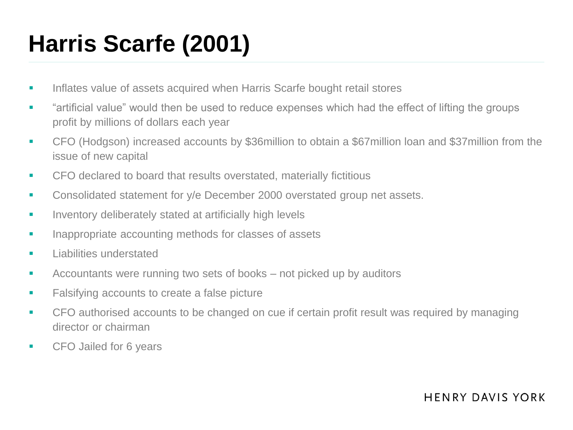# **Harris Scarfe (2001)**

- Inflates value of assets acquired when Harris Scarfe bought retail stores
- **EXECT** "artificial value" would then be used to reduce expenses which had the effect of lifting the groups profit by millions of dollars each year
- CFO (Hodgson) increased accounts by \$36million to obtain a \$67million loan and \$37million from the issue of new capital
- **EXECT** CFO declared to board that results overstated, materially fictitious
- **Consolidated statement for y/e December 2000 overstated group net assets.**
- **Inventory deliberately stated at artificially high levels**
- **Inappropriate accounting methods for classes of assets**
- **Liabilities understated**
- **EXECOUNTANTIENT ACCOUNTER 15 YOU EXECOUNTED FIGURE 10** Accountants were running two sets of books not picked up by auditors
- **Falsifying accounts to create a false picture**
- **CFO** authorised accounts to be changed on cue if certain profit result was required by managing director or chairman
- **CFO** Jailed for 6 years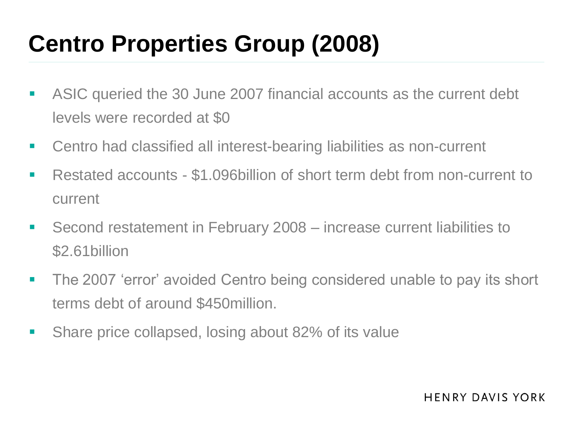# **Centro Properties Group (2008)**

- ASIC queried the 30 June 2007 financial accounts as the current debt levels were recorded at \$0
- Centro had classified all interest-bearing liabilities as non-current
- Restated accounts \$1.096billion of short term debt from non-current to current
- Second restatement in February 2008 increase current liabilities to \$2.61billion
- **The 2007 'error' avoided Centro being considered unable to pay its short** terms debt of around \$450million.
- **Share price collapsed, losing about 82% of its value**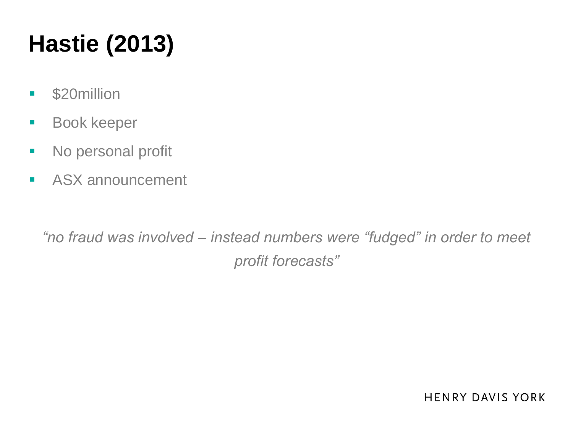# **Hastie (2013)**

- **S20million**
- **Book keeper**
- No personal profit
- **ASX announcement**

*"no fraud was involved – instead numbers were "fudged" in order to meet profit forecasts"*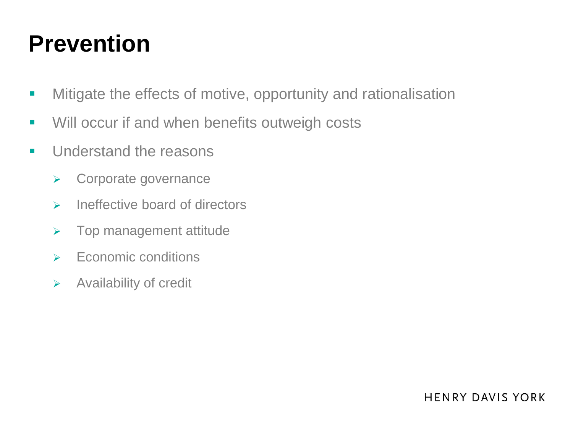### **Prevention**

- **KET Mitigate the effects of motive, opportunity and rationalisation**
- **Will occur if and when benefits outweigh costs**
- **Understand the reasons** 
	- **▶ Corporate governance**
	- $\triangleright$  Ineffective board of directors
	- $\triangleright$  Top management attitude
	- $\triangleright$  Economic conditions
	- $\triangleright$  Availability of credit